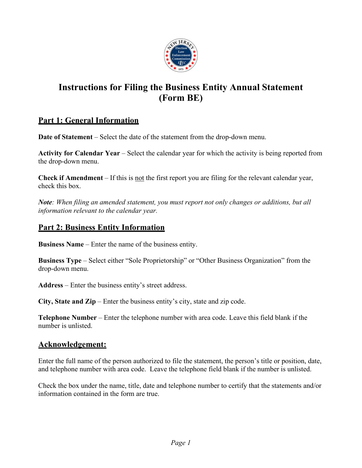

## **Instructions for Filing the Business Entity Annual Statement (Form BE)**

## **Part 1: General Information**

**Date of Statement** – Select the date of the statement from the drop-down menu.

**Activity for Calendar Year** – Select the calendar year for which the activity is being reported from the drop-down menu.

**Check if Amendment** – If this is not the first report you are filing for the relevant calendar year, check this box.

*Note: When filing an amended statement, you must report not only changes or additions, but all information relevant to the calendar year.*

## **Part 2: Business Entity Information**

**Business Name** – Enter the name of the business entity.

**Business Type** – Select either "Sole Proprietorship" or "Other Business Organization" from the drop-down menu.

**Address** – Enter the business entity's street address.

**City, State and Zip** – Enter the business entity's city, state and zip code.

**Telephone Number** – Enter the telephone number with area code. Leave this field blank if the number is unlisted.

## **Acknowledgement:**

Enter the full name of the person authorized to file the statement, the person's title or position, date, and telephone number with area code. Leave the telephone field blank if the number is unlisted.

Check the box under the name, title, date and telephone number to certify that the statements and/or information contained in the form are true.